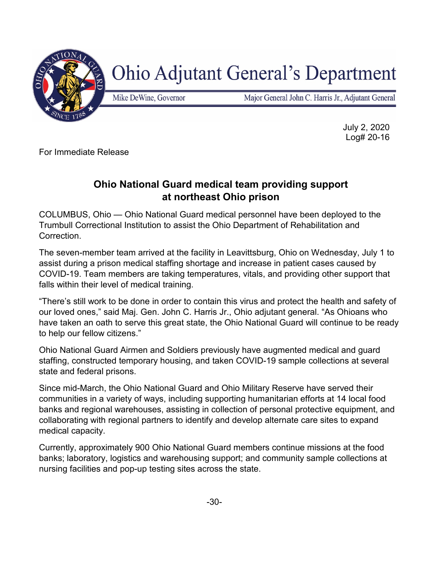

## **Ohio Adjutant General's Department**

Mike DeWine, Governor

Major General John C. Harris Jr., Adjutant General

July 2, 2020 Log# 20-16

For Immediate Release

## **Ohio National Guard medical team providing support at northeast Ohio prison**

COLUMBUS, Ohio — Ohio National Guard medical personnel have been deployed to the Trumbull Correctional Institution to assist the Ohio Department of Rehabilitation and Correction.

The seven-member team arrived at the facility in Leavittsburg, Ohio on Wednesday, July 1 to assist during a prison medical staffing shortage and increase in patient cases caused by COVID-19. Team members are taking temperatures, vitals, and providing other support that falls within their level of medical training.

"There's still work to be done in order to contain this virus and protect the health and safety of our loved ones," said Maj. Gen. John C. Harris Jr., Ohio adjutant general. "As Ohioans who have taken an oath to serve this great state, the Ohio National Guard will continue to be ready to help our fellow citizens."

Ohio National Guard Airmen and Soldiers previously have augmented medical and guard staffing, constructed temporary housing, and taken COVID-19 sample collections at several state and federal prisons.

Since mid-March, the Ohio National Guard and Ohio Military Reserve have served their communities in a variety of ways, including supporting humanitarian efforts at 14 local food banks and regional warehouses, assisting in collection of personal protective equipment, and collaborating with regional partners to identify and develop alternate care sites to expand medical capacity.

Currently, approximately 900 Ohio National Guard members continue missions at the food banks; laboratory, logistics and warehousing support; and community sample collections at nursing facilities and pop-up testing sites across the state.